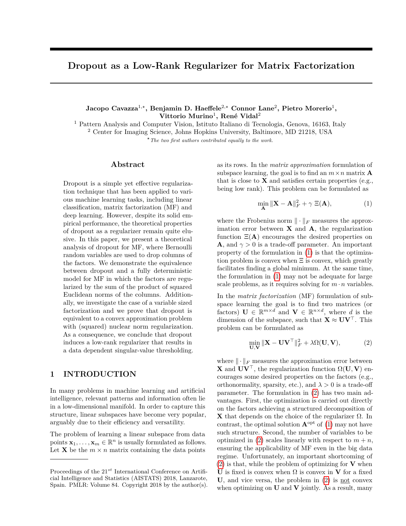# **Dropout as a Low-Rank Regularizer for Matrix Factorization**

**Jacopo Cavazza**<sup>1</sup>*,?***, Benjamin D. Haeffele**<sup>2</sup>*,?* **Connor Lane**<sup>2</sup> **, Pietro Morerio**<sup>1</sup> **, Vittorio Murino**<sup>1</sup> **, René Vidal**<sup>2</sup>

<sup>1</sup> Pattern Analysis and Computer Vision, Istituto Italiano di Tecnologia, Genova, 16163, Italy

<sup>2</sup> Center for Imaging Science, Johns Hopkins University, Baltimore, MD 21218, USA

*?The two first authors contributed equally to the work.*

### **Abstract**

Dropout is a simple yet effective regularization technique that has been applied to various machine learning tasks, including linear classification, matrix factorization (MF) and deep learning. However, despite its solid empirical performance, the theoretical properties of dropout as a regularizer remain quite elusive. In this paper, we present a theoretical analysis of dropout for MF, where Bernoulli random variables are used to drop columns of the factors. We demonstrate the equivalence between dropout and a fully deterministic model for MF in which the factors are regularized by the sum of the product of squared Euclidean norms of the columns. Additionally, we investigate the case of a variable sized factorization and we prove that dropout is equivalent to a convex approximation problem with (squared) nuclear norm regularization. As a consequence, we conclude that dropout induces a low-rank regularizer that results in a data dependent singular-value thresholding.

### **1 INTRODUCTION**

In many problems in machine learning and artificial intelligence, relevant patterns and information often lie in a low-dimensional manifold. In order to capture this structure, linear subspaces have become very popular, arguably due to their efficiency and versatility.

The problem of learning a linear subspace from data points  $\mathbf{x}_1, \ldots, \mathbf{x}_m \in \mathbb{R}^n$  is usually formulated as follows. Let **X** be the  $m \times n$  matrix containing the data points

as its rows. In the *matrix approximation* formulation of subspace learning, the goal is to find an  $m \times n$  matrix **A** that is close to  $\bf{X}$  and satisfies certain properties (e.g., being low rank). This problem can be formulated as

<span id="page-0-0"></span>
$$
\min_{\mathbf{A}} \|\mathbf{X} - \mathbf{A}\|_F^2 + \gamma \ \Xi(\mathbf{A}),\tag{1}
$$

where the Frobenius norm  $\|\cdot\|_F$  measures the approximation error between **X** and **A**, the regularization function  $E(A)$  encourages the desired properties on **A**, and  $\gamma > 0$  is a trade-off parameter. An important property of the formulation in [\(1\)](#page-0-0) is that the optimization problem is convex when  $\Xi$  is convex, which greatly facilitates finding a global minimum. At the same time, the formulation in [\(1\)](#page-0-0) may not be adequate for large scale problems, as it requires solving for  $m \cdot n$  variables.

In the *matrix factorization* (MF) formulation of subspace learning the goal is to find two matrices (or factors)  $\mathbf{U} \in \mathbb{R}^{m \times d}$  and  $\mathbf{V} \in \mathbb{R}^{n \times d}$ , where *d* is the dimension of the subspace, such that  $\mathbf{X} \approx \mathbf{U} \mathbf{V}^{\top}$ . This problem can be formulated as

<span id="page-0-1"></span>
$$
\min_{\mathbf{U},\mathbf{V}} \|\mathbf{X} - \mathbf{U}\mathbf{V}^{\top}\|_{F}^{2} + \lambda \Omega(\mathbf{U}, \mathbf{V}),
$$
\n(2)

where  $\|\cdot\|_F$  measures the approximation error between **X** and  $\mathbf{U}\mathbf{V}^{\top}$ , the regularization function  $\Omega(\mathbf{U}, \mathbf{V})$  encourages some desired properties on the factors (e.g., orthonormality, sparsity, etc.), and  $\lambda > 0$  is a trade-off parameter. The formulation in [\(2\)](#page-0-1) has two main advantages. First, the optimization is carried out directly on the factors achieving a structured decomposition of **X** that depends on the choice of the regularizer  $\Omega$ . In contrast, the optimal solution  $\mathbf{A}^{\text{opt}}$  of [\(1\)](#page-0-0) may not have such structure. Second, the number of variables to be optimized in [\(2\)](#page-0-1) scales linearly with respect to  $m + n$ , ensuring the applicability of MF even in the big data regime. Unfortunately, an important shortcoming of [\(2\)](#page-0-1) is that, while the problem of optimizing for **V** when **U** is fixed is convex when  $\Omega$  is convex in **V** for a fixed **U**, and vice versa, the problem in [\(2\)](#page-0-1) is not convex when optimizing on **U** and **V** jointly. As a result, many

Proceedings of the 21*st* International Conference on Artificial Intelligence and Statistics (AISTATS) 2018, Lanzarote, Spain. PMLR: Volume 84. Copyright 2018 by the author(s).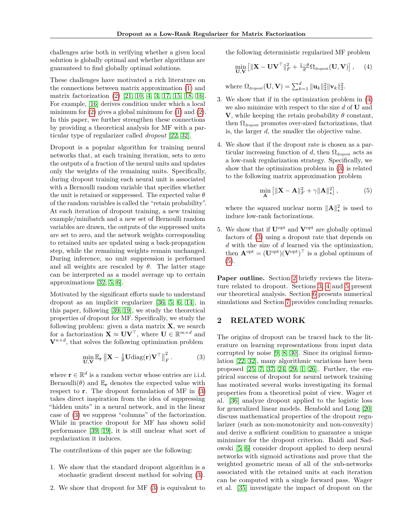challenges arise both in verifying whether a given local solution is globally optimal and whether algorithms are guaranteed to find globally optimal solutions.

These challenges have motivated a rich literature on the connections between matrix approximation [\(1\)](#page-0-0) and matrix factorization [\(2\)](#page-0-1) [\[21,](#page-8-0) [10,](#page-8-1) [4,](#page-8-2) [3,](#page-8-3) [17,](#page-8-4) [15,](#page-8-5) [18,](#page-8-6) [16\]](#page-8-7). For example, [\[16\]](#page-8-7) derives condition under which a local minimum for  $(2)$  gives a global minimum for  $(1)$  and  $(2)$ . In this paper, we further strengthen these connections by providing a theoretical analysis for MF with a particular type of regularizer called *dropout* [\[22,](#page-8-8) [32\]](#page-9-0).

Dropout is a popular algorithm for training neural networks that, at each training iteration, sets to zero the outputs of a fraction of the neural units and updates only the weights of the remaining units. Specifically, during dropout training each neural unit is associated with a Bernoulli random variable that specifies whether the unit is retained or suppressed. The expected value *θ* of the random variables is called the "retain probability". At each iteration of dropout training, a new training example/minibatch and a new set of Bernoulli random variables are drawn, the outputs of the suppressed units are set to zero, and the network weights corresponding to retained units are updated using a back-propagation step, while the remaining weights remain unchanged. During inference, no unit suppression is performed and all weights are rescaled by  $\theta$ . The latter stage can be interpreted as a model average up to certain approximations [\[32,](#page-9-0) [5,](#page-8-9) [6\]](#page-8-10).

Motivated by the significant efforts made to understand dropout as an implicit regularizer [\[36,](#page-9-1) [5,](#page-8-9) [6,](#page-8-10) [14\]](#page-8-11), in this paper, following [\[39,](#page-9-2) [19\]](#page-8-12), we study the theoretical properties of dropout for MF. Specifically, we study the following problem: given a data matrix **X**, we search for a factorization  $\mathbf{X} \approx \mathbf{U}\mathbf{V}^{\top}$ , where  $\mathbf{U} \in \mathbb{R}^{m \times d}$  and  $V^{n \times d}$ , that solves the following optimization problem

$$
\min_{\mathbf{U},\mathbf{V}} \mathbb{E}_{\mathbf{r}} \left\| \mathbf{X} - \frac{1}{\theta} \mathbf{U} \text{diag}(\mathbf{r}) \mathbf{V}^{\top} \right\|_{F}^{2}.
$$
 (3)

where  $\mathbf{r} \in \mathbb{R}^d$  is a random vector whose entries are i.i.d. Bernoulli( $\theta$ ) and  $\mathbb{E}_{\mathbf{r}}$  denotes the expected value with respect to **r**. The dropout formulation of MF in [\(3\)](#page-1-0) takes direct inspiration from the idea of suppressing "hidden units" in a neural network, and in the linear case of [\(3\)](#page-1-0) we suppress "columns" of the factorization. While in practice dropout for MF has shown solid performance [\[39,](#page-9-2) [19\]](#page-8-12), it is still unclear what sort of regularization it induces.

The contributions of this paper are the following:

- 1. We show that the standard dropout algorithm is a stochastic gradient descent method for solving [\(3\)](#page-1-0).
- 2. We show that dropout for MF [\(3\)](#page-1-0) is equivalent to

the following deterministic regularized MF problem

<span id="page-1-1"></span>
$$
\min_{\mathbf{U},\mathbf{V}} \left[ \|\mathbf{X} - \mathbf{U}\mathbf{V}^\top\|_F^2 + \frac{1-\theta}{\theta} \Omega_{\text{dropout}}(\mathbf{U}, \mathbf{V}) \right], \quad (4)
$$

where  $\Omega_{\text{dropout}}(\mathbf{U}, \mathbf{V}) = \sum_{k=1}^d \|\mathbf{u}_k\|_2^2 \|\mathbf{v}_k\|_2^2$ .

- 3. We show that if in the optimization problem in [\(4\)](#page-1-1) we also minimize with respect to the size *d* of **U** and **V**, while keeping the retain probability  $\theta$  constant, then  $\Omega_{\text{dropout}}$  promotes over-sized factorizations, that is, the larger *d*, the smaller the objective value.
- 4. We show that if the dropout rate is chosen as a particular increasing function of *d*, then  $\Omega_{\text{dropout}}$  acts as a low-rank regularization strategy. Specifically, we show that the optimization problem in [\(3\)](#page-1-0) is related to the following matrix approximation problem

<span id="page-1-2"></span>
$$
\min_{\mathbf{A}} \left[ \|\mathbf{X} - \mathbf{A}\|_F^2 + \gamma \|\mathbf{A}\|_{\star}^2 \right],\tag{5}
$$

where the squared nuclear norm  $\|\mathbf{A}\|_{\star}^{2}$  is used to induce low-rank factorizations.

5. We show that if **U**opt and **V**opt are globally optimal factors of [\(3\)](#page-1-0) using a dropout rate that depends on *d* with the size of *d* learned via the optimization, then  $\mathbf{A}^{\text{opt}} = (\mathbf{U}^{\text{opt}})(\mathbf{V}^{\text{opt}})^{\top}$  is a global optimum of  $(5)$ .

**Paper outline.** Section [2](#page-1-3) briefly reviews the literature related to dropout. Sections [3,](#page-2-0) [4](#page-3-0) and [5](#page-4-0) present our theoretical analysis. Section [6](#page-5-0) presents numerical simulations and Section [7](#page-6-0) provides concluding remarks.

#### <span id="page-1-3"></span>**2 RELATED WORK**

<span id="page-1-0"></span>The origins of dropout can be traced back to the literature on learning representations from input data corrupted by noise [\[9,](#page-8-13) [8,](#page-8-14) [30\]](#page-9-3). Since its original formulation [\[22,](#page-8-8) [32\]](#page-9-0), many algorithmic variations have been proposed [\[25,](#page-8-15) [7,](#page-8-16) [37,](#page-9-4) [24,](#page-8-17) [29,](#page-9-5) [1,](#page-8-18) [26\]](#page-8-19). Further, the empirical success of dropout for neural network training has motivated several works investigating its formal properties from a theoretical point of view. Wager et al. [\[36\]](#page-9-1) analyze dropout applied to the logistic loss for generalized linear models. Hembold and Long [\[20\]](#page-8-20) discuss mathematical properties of the dropout regularizer (such as non-monotonicity and non-convexity) and derive a sufficient condition to guarantee a unique minimizer for the dropout criterion. Baldi and Sadowski [\[5,](#page-8-9) [6\]](#page-8-10) consider dropout applied to deep neural networks with sigmoid activations and prove that the weighted geometric mean of all of the sub-networks associated with the retained units at each iteration can be computed with a single forward pass. Wager et al. [\[35\]](#page-9-6) investigate the impact of dropout on the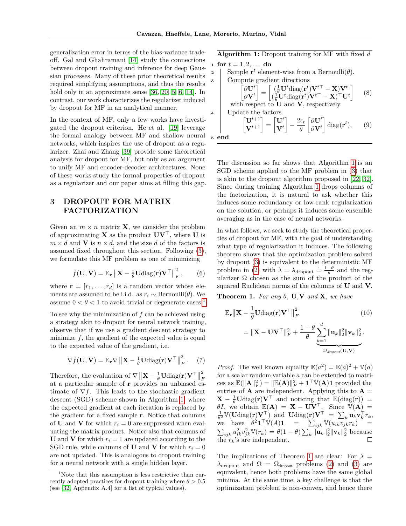generalization error in terms of the bias-variance tradeoff. Gal and Ghahramani [\[14\]](#page-8-11) study the connections between dropout training and inference for deep Gaussian processes. Many of these prior theoretical results required simplifying assumptions, and thus the results hold only in an approximate sense [\[36,](#page-9-1) [20,](#page-8-20) [5,](#page-8-9) [6,](#page-8-10) [14\]](#page-8-11). In contrast, our work characterizes the regularizer induced by dropout for MF in an analytical manner.

In the context of MF, only a few works have investigated the dropout criterion. He et al. [\[19\]](#page-8-12) leverage the formal analogy between MF and shallow neural networks, which inspires the use of dropout as a regularizer. Zhai and Zhang [\[39\]](#page-9-2) provide some theoretical analysis for dropout for MF, but only as an argument to unify MF and encoder-decoder architectures. None of these works study the formal properties of dropout as a regularizer and our paper aims at filling this gap.

## <span id="page-2-0"></span>**3 DROPOUT FOR MATRIX FACTORIZATION**

Given an  $m \times n$  matrix **X**, we consider the problem of approximating **X** as the product  $\mathbf{U}\mathbf{V}^{\top}$ , where **U** is  $m \times d$  and **V** is  $n \times d$ , and the size *d* of the factors is assumed fixed throughout this section. Following [\(3\)](#page-1-0), we formulate this MF problem as one of minimizing

$$
f(\mathbf{U}, \mathbf{V}) = \mathbb{E}_{\mathbf{r}} \left\| \mathbf{X} - \frac{1}{\theta} \mathbf{U} \text{diag}(\mathbf{r}) \mathbf{V}^\top \right\|_F^2, \qquad (6)
$$

where  $\mathbf{r} = [r_1, \ldots, r_d]$  is a random vector whose elements are assumed to be i.i.d. as  $r_i \sim \text{Bernoulli}(\theta)$ . We assume  $0 < \theta < 1$  $0 < \theta < 1$  to avoid trivial or degenerate cases.<sup>1</sup>

To see why the minimization of *f* can be achieved using a strategy akin to dropout for neural network training, observe that if we use a gradient descent strategy to minimize f, the gradient of the expected value is equal to the expected value of the gradient, i.e.

$$
\nabla f(\mathbf{U}, \mathbf{V}) = \mathbb{E}_{\mathbf{r}} \nabla \left\| \mathbf{X} - \frac{1}{\theta} \mathbf{U} \text{diag}(\mathbf{r}) \mathbf{V}^{\top} \right\|_{F}^{2}.
$$
 (7)

Therefore, the evaluation of  $\nabla$   $\|\mathbf{X} - \frac{1}{\theta} \mathbf{U} \text{diag}(\mathbf{r}) \mathbf{V}^\top \|$ 2 *F* at a particular sample of **r** provides an unbiased estimate of  $\nabla f$ . This leads to the stochastic gradient descent (SGD) scheme shown in Algorithm [1,](#page-2-2) where the expected gradient at each iteration is replaced by the gradient for a fixed sample **r**. Notice that columns of **U** and **V** for which  $r_i = 0$  are suppressed when evaluating the matrix product. Notice also that columns of **U** and **V** for which  $r_i = 1$  are updated according to the SGD rule, while columns of **U** and **V** for which  $r_i = 0$ are not updated. This is analogous to dropout training for a neural network with a single hidden layer.

| Algorithm 1: Dropout training for MF with fixed $d$              |
|------------------------------------------------------------------|
| for $t = 1, 2, \ldots$ do                                        |
| Sample $\mathbf{r}^t$ element-wise from a Bernoulli( $\theta$ ). |

1

\nCompute gradient directions

\n
$$
\begin{bmatrix}\n\partial \mathbf{U}^t \\
\partial \mathbf{V}^t\n\end{bmatrix} = \begin{bmatrix}\n(\frac{1}{\theta} \mathbf{U}^t \text{diag}(\mathbf{r}^t) \mathbf{V}^{t\top} - \mathbf{X}) \mathbf{V}^t \\
(\frac{1}{\theta} \mathbf{U}^t \text{diag}(\mathbf{r}^t) \mathbf{V}^{t\top} - \mathbf{X})^\top \mathbf{U}^t\n\end{bmatrix} \quad (8)
$$
\nwith respect to **U** and **V**, respectively.

\n4

\nUpdate the factors

\n
$$
\begin{bmatrix}\n\mathbf{U}^{t+1} \\
\mathbf{V}^{t+1}\n\end{bmatrix} = \begin{bmatrix}\n\mathbf{U}^t \\
\mathbf{V}^t\n\end{bmatrix} - \frac{2\epsilon_t}{\theta} \begin{bmatrix}\n\partial \mathbf{U}^t \\
\partial \mathbf{V}^t\n\end{bmatrix} \text{diag}(\mathbf{r}^t), \quad (9)
$$
\n5

\nend

<span id="page-2-2"></span>The discussion so far shows that Algorithm [1](#page-2-2) is an SGD scheme applied to the MF problem in [\(3\)](#page-1-0) that is akin to the dropout algorithm proposed in [\[22,](#page-8-8) [32\]](#page-9-0). Since during training Algorithm [1](#page-2-2) drops columns of the factorization, it is natural to ask whether this induces some redundancy or low-rank regularization on the solution, or perhaps it induces some ensemble averaging as in the case of neural networks.

In what follows, we seek to study the theoretical properties of dropout for MF, with the goal of understanding what type of regularization it induces. The following theorem shows that the optimization problem solved by dropout [\(3\)](#page-1-0) is equivalent to the deterministic MF problem in [\(2\)](#page-0-1) with  $\lambda = \lambda_{\text{dropout}} \doteq \frac{1-\theta}{\theta}$  and the regularizer  $\Omega$  chosen as the sum of the product of the squared Euclidean norms of the columns of **U** and **V**.

<span id="page-2-3"></span>**Theorem 1.** *For any*  $\theta$ *,* **U***,***V** *and* **X***, we have* 

$$
\mathbb{E}_{\mathbf{r}} \|\mathbf{X} - \frac{1}{\theta} \mathbf{U} \text{diag}(\mathbf{r}) \mathbf{V}^{\top} \|_{F}^{2}
$$
(10)  
=\|\mathbf{X} - \mathbf{U} \mathbf{V}^{\top} \|\_{F}^{2} + \frac{1 - \theta}{\theta} \underbrace{\sum\_{k=1}^{d} \|\mathbf{u}\_{k}\|\_{2}^{2} \|\mathbf{v}\_{k}\|\_{2}^{2}}\_{\Omega\_{\text{dropout}}(\mathbf{U}, \mathbf{V})}

*Proof.* The well known equality  $\mathbb{E}(a^2) = \mathbb{E}(a)^2 + \mathbb{V}(a)$ for a scalar random variable *a* can be extended to matrices as  $\mathbb{E}(\|\mathbf{A}\|_F^2) = \|\mathbb{E}(\mathbf{A})\|_F^2 + \mathbf{1}^\top \mathbb{V}(\mathbf{A})\mathbf{1}$  provided the entries of **A** are independent. Applying this to  $A =$  $\mathbf{X} - \frac{1}{\theta} \mathbf{U} \text{diag}(\mathbf{r}) \mathbf{V}^{\top}$  and noticing that  $\mathbb{E}(\text{diag}(\mathbf{r})) =$  $\theta I$ , we obtain  $\mathbb{E}(\mathbf{A}) = \mathbf{X} - \mathbf{U}\mathbf{V}^{\top}$ . Since  $\mathbb{V}(\mathbf{A}) =$  $\frac{1}{\theta^2} \mathbb{V}(\mathbf{U} \text{diag}(\mathbf{r}) \mathbf{V}^{\top})$  and  $\mathbf{U} \text{diag}(\mathbf{r}) \mathbf{V}^{\top} = \sum_k \mathbf{u}_k \mathbf{v}_k^{\top} r_k$ , we have  $\theta^2 \mathbf{1}^\top \mathbb{V}(A) \mathbf{1} = \sum_{ijk} \mathbb{V}(u_{ik}v_{jk}v_k)^{-n} =$  $\sum_{ijk} u_{ik}^2 v_{jk}^2 \mathbb{V}(r_k) = \theta(1-\theta) \sum_k ||\mathbf{u}_k||_2^2 ||\mathbf{v}_k||_2^2$  because the  $r_k$ 's are independent.

The implications of Theorem [1](#page-2-3) are clear: For  $\lambda =$  $\lambda_{\text{dropout}}$  and  $\Omega = \Omega_{\text{dropout}}$  problems [\(2\)](#page-0-1) and [\(3\)](#page-1-0) are equivalent, hence both problems have the same global minima. At the same time, a key challenge is that the optimization problem is non-convex, and hence there

<span id="page-2-1"></span><sup>&</sup>lt;sup>1</sup>Note that this assumption is less restrictive than currently adopted practices for dropout training where  $\theta > 0.5$ (see [\[32,](#page-9-0) Appendix A.4] for a list of typical values).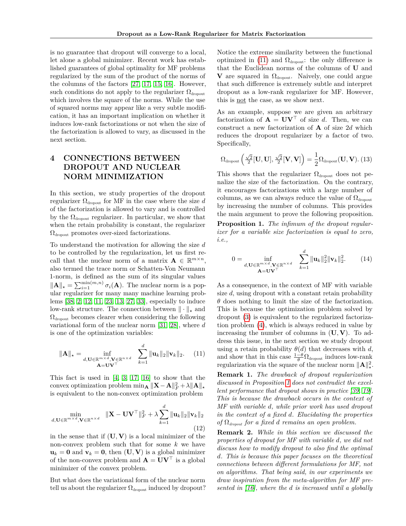is no guarantee that dropout will converge to a local, let alone a global minimizer. Recent work has established guarantees of global optimality for MF problems regularized by the sum of the product of the norms of the columns of the factors [\[27,](#page-9-7) [17,](#page-8-4) [15,](#page-8-5) [16\]](#page-8-7). However, such conditions do not apply to the regularizer  $\Omega_{\rm{dronout}}$ which involves the square of the norms. While the use of squared norms may appear like a very subtle modification, it has an important implication on whether it induces low-rank factorizations or not when the size of the factorization is allowed to vary, as discussed in the next section.

## <span id="page-3-0"></span>**4 CONNECTIONS BETWEEN DROPOUT AND NUCLEAR NORM MINIMIZATION**

In this section, we study properties of the dropout regularizer  $\Omega_{\text{dropout}}$  for MF in the case where the size *d* of the factorization is allowed to vary and is controlled by the  $\Omega_{\text{dropout}}$  regularizer. In particular, we show that when the retain probability is constant, the regularizer  $\Omega_{\text{dropout}}$  promotes over-sized factorizations.

To understand the motivation for allowing the size *d* to be controlled by the regularization, let us first recall that the nuclear norm of a matrix  $\mathbf{A} \in \mathbb{R}^{m \times n}$ , also termed the trace norm or Schatten-Von Neumann 1-norm, is defined as the sum of its singular values  $\|\mathbf{A}\|_{\star} = \sum_{i=1}^{\min(m,n)} \sigma_i(\mathbf{A})$ . The nuclear norm is a popular regularizer for many many machine learning problems [\[38,](#page-9-8) [2,](#page-8-21) [12,](#page-8-22) [11,](#page-8-23) [23,](#page-8-24) [13,](#page-8-25) [27,](#page-9-7) [33\]](#page-9-9), especially to induce low-rank structure. The connection between  $\|\cdot\|_{\star}$  and  $\Omega_{\rm dropout}$  becomes clearer when considering the following variational form of the nuclear norm [\[31,](#page-9-10) [28\]](#page-9-11), where *d* is one of the optimization variables:

$$
\|\mathbf{A}\|_{\star} = \inf_{\substack{d,\mathbf{U}\in\mathbb{R}^{m\times d},\mathbf{V}\in\mathbb{R}^{n\times d} \\ \mathbf{A}=\mathbf{U}\mathbf{V}^{\top}}} \quad \sum_{k=1}^{d} \|\mathbf{u}_k\|_2 \|\mathbf{v}_k\|_2. \tag{11}
$$

This fact is used in  $[4, 3, 17, 16]$  $[4, 3, 17, 16]$  $[4, 3, 17, 16]$  $[4, 3, 17, 16]$  $[4, 3, 17, 16]$  $[4, 3, 17, 16]$  $[4, 3, 17, 16]$  to show that the  $\text{convex optimization problem } \min_{\mathbf{A}} \|\mathbf{X} - \mathbf{A}\|_F^2 + \lambda \|\mathbf{A}\|_*$ is equivalent to the non-convex optimization problem

$$
\min_{d,\mathbf{U}\in\mathbb{R}^{m\times d},\mathbf{V}\in\mathbb{R}^{n\times d}} \|\mathbf{X}-\mathbf{U}\mathbf{V}^{\top}\|_{F}^{2}+\lambda \sum_{k=1}^{d} \|\mathbf{u}_{k}\|_{2}\|\mathbf{v}_{k}\|_{2}
$$
\n(12)

in the sense that if  $(U, V)$  is a local minimizer of the non-convex problem such that for some *k* we have  $u_k = 0$  and  $v_k = 0$ , then  $(U, V)$  is a global minimizer of the non-convex problem and  $\mathbf{A} = \mathbf{U}\mathbf{V}^{\top}$  is a global minimizer of the convex problem.

But what does the variational form of the nuclear norm tell us about the regularizer  $\Omega_{\text{dropout}}$  induced by dropout? Notice the extreme similarity between the functional optimized in [\(11\)](#page-3-1) and  $\Omega_{\text{dropout}}$ : the only difference is that the Euclidean norms of the columns of **U** and **V** are squared in  $\Omega_{\text{dropout}}$ . Naively, one could argue that such difference is extremely subtle and interpret dropout as a low-rank regularizer for MF. However, this is not the case, as we show next.

As an example, suppose we are given an arbitrary factorization of  $\mathbf{A} = \mathbf{U}\mathbf{V}^{\top}$  of size *d*. Then, we can construct a new factorization of **A** of size 2*d* which reduces the dropout regularizer by a factor of two. Specifically,

$$
\Omega_{\text{dropout}}\left(\tfrac{\sqrt{2}}{2}[\mathbf{U},\mathbf{U}],\tfrac{\sqrt{2}}{2}[\mathbf{V},\mathbf{V}]\right)=\frac{1}{2}\Omega_{\text{dropout}}(\mathbf{U},\mathbf{V}).\ (13)
$$

This shows that the regularizer  $\Omega_{\text{dropout}}$  does not penalize the size of the factorization. On the contrary, it encourages factorizations with a large number of columns, as we can always reduce the value of  $\Omega_{\rm dropout}$ by increasing the number of columns. This provides the main argument to prove the following proposition.

<span id="page-3-2"></span>**Proposition 1.** *The infimum of the dropout regularizer for a variable size factorization is equal to zero, i.e.,*

<span id="page-3-3"></span>
$$
0 = \inf_{\substack{d,\mathbf{U}\in\mathbb{R}^{m\times d},\mathbf{V}\in\mathbb{R}^{n\times d} \\ \mathbf{A}=\mathbf{U}\mathbf{V}^{\top}}} \quad \sum_{k=1}^d \|\mathbf{u}_k\|_2^2 \|\mathbf{v}_k\|_2^2. \tag{14}
$$

As a consequence, in the context of MF with variable size *d*, using dropout with a constant retain probability *θ* does nothing to limit the size of the factorization. This is because the optimization problem solved by dropout [\(3\)](#page-1-0) is equivalent to the regularized factorization problem [\(4\)](#page-1-1), which is always reduced in value by increasing the number of columns in (**U***,* **V**). To address this issue, in the next section we study dropout using a retain probability  $\theta(d)$  that decreases with *d*, and show that in this case  $\frac{1-\theta}{\theta} \Omega_{\text{dropout}}$  induces low-rank regularization via the square of the nuclear norm  $\|\mathbf{A}\|^2_{\star}$ .

<span id="page-3-1"></span>**Remark 1.** *The drawback of dropout regularization discussed in Proposition [1](#page-3-2) does not contradict the excellent performance that dropout shows in practice [\[39,](#page-9-2) [19\]](#page-8-12). This is because the drawback occurs in the context of MF with variable d, while prior work has used dropout in the context of a fixed d. Elucidating the properties of* Ω*dropout for a fixed d remains an open problem.*

**Remark 2.** *While in this section we discussed the properties of dropout for MF with variable d, we did not discuss how to modify dropout to also find the optimal d. This is because this paper focuses on the theoretical connections between different formulations for MF, not on algorithms. That being said, in our experiments we draw inspiration from the meta-algorithm for MF presented in [\[16\]](#page-8-7), where the d is increased until a globally*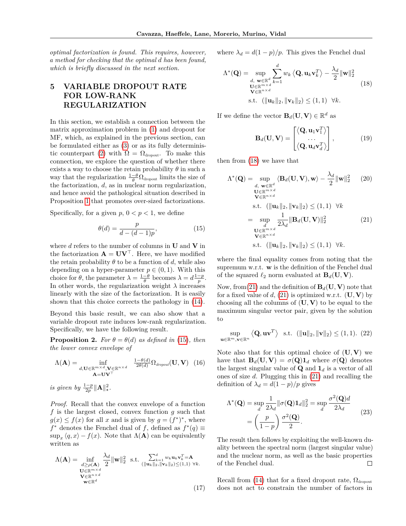*optimal factorization is found. This requires, however, a method for checking that the optimal d has been found, which is briefly discussed in the next section.*

## <span id="page-4-0"></span>**5 VARIABLE DROPOUT RATE FOR LOW-RANK REGULARIZATION**

In this section, we establish a connection between the matrix approximation problem in [\(1\)](#page-0-0) and dropout for MF, which, as explained in the previous section, can be formulated either as [\(3\)](#page-1-0) or as its fully determinis-tic counterpart [\(2\)](#page-0-1) with  $\Omega = \Omega_{\text{dropout}}$ . To make this connection, we explore the question of whether there exists a way to choose the retain probability  $\theta$  in such a way that the regularization  $\frac{1-\theta}{\theta} \Omega_{\text{dropout}}$  limits the size of the factorization, *d*, as in nuclear norm regularization, and hence avoid the pathological situation described in Proposition [1](#page-3-2) that promotes over-sized factorizations.

Specifically, for a given  $p, 0 < p < 1$ , we define

$$
\theta(d) = \frac{p}{d - (d - 1)p},\tag{15}
$$

where *d* refers to the number of columns in **U** and **V** in the factorization  $\mathbf{A} = \mathbf{U}\mathbf{V}^{\top}$ . Here, we have modified the retain probability  $\theta$  to be a function of *d*, while also depending on a hyper-parameter  $p \in (0,1)$ . With this choice for  $\theta$ , the parameter  $\lambda = \frac{1-\theta}{\theta}$  becomes  $\lambda = d\frac{1-p}{p}$ . In other words, the regularization weight  $\lambda$  increases linearly with the size of the factorization. It is easily shown that this choice corrects the pathology in [\(14\)](#page-3-3).

Beyond this basic result, we can also show that a variable dropout rate induces low-rank regularization. Specifically, we have the following result.

<span id="page-4-4"></span>**Proposition 2.** *For*  $\theta = \theta(d)$  *as defined in* [\(15\)](#page-4-1)*, then the lower convex envelope of*

$$
\Lambda(\mathbf{A}) = \inf_{d, \mathbf{U} \in \mathbb{R}^{m \times d}, \mathbf{V} \in \mathbb{R}^{n \times d}} \frac{1 - \theta(d)}{2\theta(d)} \Omega_{\text{dropout}}(\mathbf{U}, \mathbf{V}) \tag{16}
$$

*is given by*  $\frac{1-p}{2p} \|\mathbf{A}\|_{*}^{2}$ .

*Proof.* Recall that the convex envelope of a function *f* is the largest closed, convex function *g* such that  $g(x) \leq f(x)$  for all *x* and is given by  $g = (f^*)^*$ , where *f*<sup>\*</sup> denotes the Fenchel dual of *f*, defined as  $f^*(q)$  ≡  $\sup_x \langle q, x \rangle - f(x)$ . Note that  $\Lambda(A)$  can be equivalently written as

$$
\Lambda(\mathbf{A}) = \inf_{\substack{d \ge \rho(\mathbf{A}) \\ \mathbf{U} \in \mathbb{R}^{m \times d} \\ \mathbf{V} \in \mathbb{R}^{n \times d}}} \frac{\lambda_d}{2} \|\mathbf{w}\|_2^2 \text{ s.t. } \sum_{\substack{(\|\mathbf{u}_k\|_2, \|\mathbf{v}_k\|_2) \le (1,1) \\ \mathbf{v} \in \mathbb{R}^d}} \nu_k \mathbf{u}_k \mathbf{v}_k^T = \mathbf{A}
$$
\n
$$
\mathbf{V} \in \mathbb{R}^{n \times d} \tag{17}
$$

where  $\lambda_d = d(1-p)/p$ . This gives the Fenchel dual

$$
\Lambda^*(\mathbf{Q}) = \sup_{\substack{d, \mathbf{w} \in \mathbb{R}^d \\ \mathbf{U} \in \mathbb{R}^{m \times d} \\ \mathbf{v} \in \mathbb{R}^{n \times d}}} \sum_{k=1}^d w_k \langle \mathbf{Q}, \mathbf{u}_k \mathbf{v}_k^T \rangle - \frac{\lambda_d}{2} ||\mathbf{w}||_2^2
$$
\n
$$
\text{(18)}
$$
\n
$$
\text{s.t. } (||\mathbf{u}_k||_2, ||\mathbf{v}_k||_2) \leq (1, 1) \quad \forall k.
$$

If we define the vector  $\mathbf{B}_d(\mathbf{U}, \mathbf{V}) \in \mathbb{R}^d$  as

<span id="page-4-3"></span><span id="page-4-2"></span>
$$
\mathbf{B}_{d}(\mathbf{U}, \mathbf{V}) = \begin{bmatrix} \langle \mathbf{Q}, \mathbf{u}_{1} \mathbf{v}_{1}^{T} \rangle \\ \cdots \\ \langle \mathbf{Q}, \mathbf{u}_{d} \mathbf{v}_{d}^{T} \rangle \end{bmatrix}, \quad (19)
$$

then from [\(18\)](#page-4-2) we have that

**u**∈R*m,***v**∈R*<sup>n</sup>*

<span id="page-4-1"></span>
$$
\Lambda^*(\mathbf{Q}) = \sup_{\substack{d, \mathbf{w} \in \mathbb{R}^{d} \\ \mathbf{U} \in \mathbb{R}^{m \times d} \\ \mathbf{w} \in \mathbb{R}^{n \times d}}} \langle \mathbf{B}_d(\mathbf{U}, \mathbf{V}), \mathbf{w} \rangle - \frac{\lambda_d}{2} ||\mathbf{w}||_2^2 \qquad (20)
$$
  
\n
$$
\mathbf{U} \in \mathbb{R}^{m \times d} \\ \text{s.t. } (||\mathbf{u}_k||_2, ||\mathbf{v}_k||_2) \le (1, 1) \quad \forall k
$$
  
\n
$$
= \sup_{\substack{d \\ \mathbf{U} \in \mathbb{R}^{m \times d} \\ \mathbf{V} \in \mathbb{R}^{n \times d}}} \frac{1}{2\lambda_d} ||\mathbf{B}_d(\mathbf{U}, \mathbf{V})||_2^2 \qquad (21)
$$
  
\n
$$
\mathbf{U} \in \mathbb{R}^{m \times d} \\ \text{s.t. } (||\mathbf{u}_k||_2, ||\mathbf{v}_k||_2) \le (1, 1) \quad \forall k.
$$

where the final equality comes from noting that the supremum w.r.t. **w** is the definition of the Fenchel dual of the squared  $\ell_2$  norm evaluated at  $\mathbf{B}_d(\mathbf{U}, \mathbf{V})$ .

Now, from [\(21\)](#page-4-3) and the definition of  $\mathbf{B}_d(\mathbf{U}, \mathbf{V})$  note that for a fixed value of  $d$ , [\(21\)](#page-4-3) is optimized w.r.t. (**U**, **V**) by choosing all the columns of (**U***,* **V**) to be equal to the maximum singular vector pair, given by the solution to

$$
\sup_{\mathbb{R}^m,\mathbf{v}\in\mathbb{R}^n} \langle \mathbf{Q}, \mathbf{u}\mathbf{v}^T \rangle \quad \text{s.t.} \quad (\|\mathbf{u}\|_2, \|\mathbf{v}\|_2) \le (1,1). \tag{22}
$$

Note also that for this optimal choice of  $(U, V)$  we have that  $\mathbf{B}_d(\mathbf{U}, \mathbf{V}) = \sigma(\mathbf{Q}) \mathbf{1}_d$  where  $\sigma(\mathbf{Q})$  denotes the largest singular value of **Q** and  $\mathbf{1}_d$  is a vector of all ones of size *d*. Plugging this in [\(21\)](#page-4-3) and recalling the definition of  $\lambda_d = d(1-p)/p$  gives

$$
\Lambda^*(\mathbf{Q}) = \sup_d \frac{1}{2\lambda_d} ||\sigma(\mathbf{Q})\mathbf{1}_d||_2^2 = \sup_d \frac{\sigma^2(\mathbf{Q})d}{2\lambda_d}
$$
  
= 
$$
\left(\frac{p}{1-p}\right) \frac{\sigma^2(\mathbf{Q})}{2}.
$$
 (23)

The result then follows by exploiting the well-known duality between the spectral norm (largest singular value) and the nuclear norm, as well as the basic properties of the Fenchel dual.  $\Box$ 

Recall from [\(14\)](#page-3-3) that for a fixed dropout rate,  $\Omega_{\rm dropout}$ does not act to constrain the number of factors in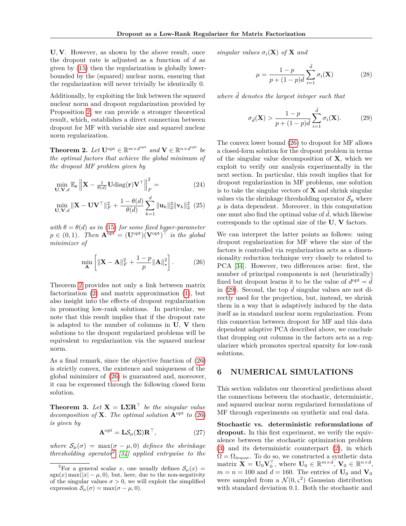**U***,* **V**. However, as shown by the above result, once the dropout rate is adjusted as a function of *d* as given by [\(15\)](#page-4-1) then the regularization is globally lowerbounded by the (squared) nuclear norm, ensuring that the regularization will never trivially be identically 0.

Additionally, by exploiting the link between the squared nuclear norm and dropout regularization provided by Proposition [2,](#page-4-4) we can provide a stronger theoretical result, which, establishes a direct connection between dropout for MF with variable size and squared nuclear norm regularization.

<span id="page-5-1"></span>**Theorem 2.** *Let*  $\mathbf{U}^{\text{opt}} \in \mathbb{R}^{m \times d^{\text{opt}}}$  and  $\mathbf{V} \in \mathbb{R}^{n \times d^{\text{opt}}}$  be *the optimal factors that achieve the global minimum of the dropout MF problem given by*

$$
\min_{\mathbf{U}, \mathbf{V}, d} \mathbb{E}_{\mathbf{r}} \left\| \mathbf{X} - \frac{1}{\theta(d)} \mathbf{U} \text{diag}(\mathbf{r}) \mathbf{V}^{\top} \right\|_{F}^{2} = \tag{24}
$$

$$
\min_{\mathbf{U}, \mathbf{V}, d} \|\mathbf{X} - \mathbf{U}\mathbf{V}^{\top}\|_{F}^{2} + \frac{1 - \theta(d)}{\theta(d)} \sum_{k=1}^{d} \|\mathbf{u}_{k}\|_{2}^{2} \|\mathbf{v}_{k}\|_{2}^{2} (25)
$$

*with*  $\theta = \theta(d)$  *as in* [\(15\)](#page-4-1) *for some fixed hyper-parameter*  $p \in (0, 1)$ *. Then*  $\mathbf{A}^{\text{opt}} = (\mathbf{U}^{\text{opt}})(\mathbf{V}^{\text{opt}})^{\top}$  *is the global minimizer of*

<span id="page-5-2"></span>
$$
\min_{\mathbf{A}} \left[ \|\mathbf{X} - \mathbf{A}\|_F^2 + \frac{1-p}{p} \|\mathbf{A}\|_{\star}^2 \right].
$$
 (26)

Theorem [2](#page-5-1) provides not only a link between matrix factorization [\(2\)](#page-0-1) and matrix approximation [\(1\)](#page-0-0), but also insight into the effects of dropout regularization in promoting low-rank solutions. In particular, we note that this result implies that if the dropout rate is adapted to the number of columns in **U**, **V** then solutions to the dropout regularized problems will be equivalent to regularization via the squared nuclear norm.

As a final remark, since the objective function of [\(26\)](#page-5-2) is strictly convex, the existence and uniqueness of the global minimizer of [\(26\)](#page-5-2) is guaranteed and, moreover, it can be expressed through the following closed form solution.

<span id="page-5-5"></span>**Theorem 3.** Let  $X = L\Sigma R^{\top}$  be the singular value *decomposition of* **X***. The optimal solution* **A**opt *to* [\(26\)](#page-5-2) *is given by*

$$
\mathbf{A}^{\text{opt}} = \mathbf{L} \mathcal{S}_{\mu}(\mathbf{\Sigma}) \mathbf{R}^{\top},\tag{27}
$$

*where*  $S_\mu(\sigma) = \max(\sigma - \mu, 0)$  *defines the shrinkage thresholding operator*[2](#page-5-3) *[\[34\]](#page-9-12) applied entrywise to the*

*singular values*  $\sigma_i(\mathbf{X})$  *of* **X** *and* 

<span id="page-5-4"></span>
$$
\mu = \frac{1 - p}{p + (1 - p)\bar{d}} \sum_{i=1}^{\bar{d}} \sigma_i(\mathbf{X})
$$
\n(28)

*where*  $\bar{d}$  *denotes the largest integer such that* 

$$
\sigma_{\bar{d}}(\mathbf{X}) > \frac{1-p}{p+(1-p)\bar{d}} \sum_{i=1}^{\bar{d}} \sigma_i(\mathbf{X}).
$$
\n(29)

The convex lower bound [\(26\)](#page-5-2) to dropout for MF allows a closed-form solution for the dropout problem in terms of the singular value decomposition of **X**, which we exploit to verify our analysis experimentally in the next section. In particular, this result implies that for dropout regularization in MF problems, one solution is to take the singular vectors of **X** and shrink singular values via the shrinkage thresholding operator  $S_{\mu}$  where  $\mu$  is data dependent. Moreover, in this computation one must also find the optimal value of  $d$ , which likewise corresponds to the optimal size of the **U**, **V** factors.

We can interpret the latter points as follows: using dropout regularization for MF where the size of the factors is controlled via regularization acts as a dimensionality reduction technique very closely to related to PCA [\[34\]](#page-9-12). However, two differences arise: first, the number of principal components is not (heuristically) fixed but dropout learns it to be the value of  $d^{\text{opt}} = \overline{d}$ in [\(29\)](#page-5-4). Second, the top  $\bar{d}$  singular values are not directly used for the projection, but, instead, we shrink them in a way that is adaptively induced by the data itself as in standard nuclear norm regularization. From this connection between dropout for MF and this data dependent adaptive PCA described above, we conclude that dropping out columns in the factors acts as a regularizer which promotes spectral sparsity for low-rank solutions.

### <span id="page-5-0"></span>**6 NUMERICAL SIMULATIONS**

This section validates our theoretical predictions about the connections between the stochastic, deterministic, and squared nuclear norm regularized formulations of MF through experiments on synthetic and real data.

**Stochastic vs. deterministic reformulations of dropout.** In this first experiment, we verify the equivalence between the stochastic optimization problem [\(3\)](#page-1-0) and its deterministic counterpart [\(2\)](#page-0-1), in which  $\Omega = \Omega_{\text{dropout}}$ . To do so, we constructed a synthetic data matrix  $\dot{\mathbf{X}} = \mathbf{U}_0 \mathbf{V}_0^{\top}$ , where  $\mathbf{U}_0 \in \mathbb{R}^{m \times d}$ ,  $\mathbf{V}_0 \in \mathbb{R}^{n \times d}$ ,  $m = n = 100$  and  $d = 160$ . The entries of  $U_0$  and  $V_0$ were sampled from a  $\mathcal{N}(0, \varsigma^2)$  Gaussian distribution with standard deviation 0*.*1. Both the stochastic and

<span id="page-5-3"></span><sup>&</sup>lt;sup>2</sup>For a general scalar *x*, one usually defines  $S_\mu(x) =$  $sgn(x) \max(|x| - \mu, 0)$ , but, here, due to the non-negativity of the singular values  $\sigma > 0$ , we will exploit the simplified expression  $S_\mu(\sigma) = \max(\sigma - \mu, 0)$ .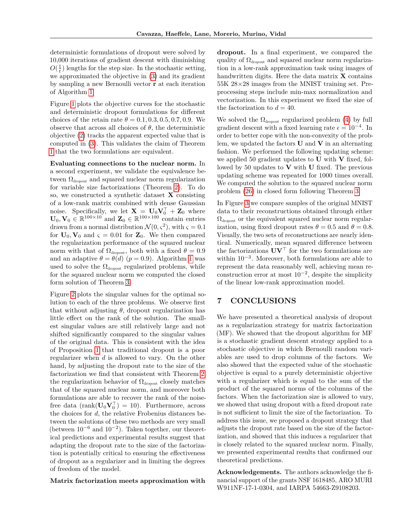deterministic formulations of dropout were solved by 10,000 iterations of gradient descent with diminishing  $O(\frac{1}{t})$  lengths for the step size. In the stochastic setting, we approximated the objective in [\(3\)](#page-1-0) and its gradient by sampling a new Bernoulli vector **r** at each iteration of Algorithm [1.](#page-2-2)

Figure [1](#page-7-0) plots the objective curves for the stochastic and deterministic dropout formulations for different choices of the retain rate  $\theta = 0.1, 0.3, 0.5, 0.7, 0.9$ . We observe that across all choices of  $\theta$ , the deterministic objective [\(2\)](#page-0-1) tracks the apparent expected value that is computed in [\(3\)](#page-1-0). This validates the claim of Theorem [1](#page-2-3) that the two formulations are equivalent.

**Evaluating connections to the nuclear norm.** In a second experiment, we validate the equivalence between  $\Omega_{\rm dropout}$  and squared nuclear norm regularization for variable size factorizations (Theorem [2\)](#page-5-1). To do so, we constructed a synthetic dataset **X** consisting of a low-rank matrix combined with dense Gaussian noise. Specifically, we let  $\mathbf{X} = \mathbf{U}_0 \mathbf{V}_0^\top + \mathbf{Z}_0$  where  $\mathbf{U}_0, \mathbf{V}_0 \in \mathbb{R}^{100 \times 10}$  and  $\mathbf{Z}_0 \in \mathbb{R}^{100 \times 100}$  contain entries drawn from a normal distribution  $\mathcal{N}(0, \varsigma^2)$ , with  $\varsigma = 0.1$ for  $U_0$ ,  $V_0$  and  $\varsigma = 0.01$  for  $Z_0$ . We then compared the regularization performance of the squared nuclear norm with that of  $\Omega_{\text{dropout}}$ , both with a fixed  $\theta = 0.9$ and an adaptive  $\theta = \theta(d)$  ( $p = 0.9$ ). Algorithm [1](#page-2-2) was used to solve the  $\Omega_{\text{dropout}}$  regularized problems, while for the squared nuclear norm we computed the closed form solution of Theorem [3.](#page-5-5)

Figure [2](#page-7-1) plots the singular values for the optimal solution to each of the three problems. We observe first that without adjusting  $\theta$ , dropout regularization has little effect on the rank of the solution. The smallest singular values are still relatively large and not shifted significantly compared to the singular values of the original data. This is consistent with the idea of Proposition [1](#page-3-2) that traditional dropout is a poor regularizer when *d* is allowed to vary. On the other hand, by adjusting the dropout rate to the size of the factorization we find that consistent with Theorem [2,](#page-5-1) the regularization behavior of  $\Omega_{\text{dropout}}$  closely matches that of the squared nuclear norm, and moreover both formulations are able to recover the rank of the noisefree data  $(\text{rank}(\mathbf{U}_0 \mathbf{V}_0^{\top}) = 10)$ . Furthermore, across the choices for *d*, the relative Frobenius distances between the solutions of these two methods are very small (between  $10^{-6}$  and  $10^{-2}$ ). Taken together, our theoretical predictions and experimental results suggest that adapting the dropout rate to the size of the factorization is potentially critical to ensuring the effectiveness of dropout as a regularizer and in limiting the degrees of freedom of the model.

### **Matrix factorization meets approximation with**

**dropout.** In a final experiment, we compared the quality of  $\Omega_{\rm dropout}$  and squared nuclear norm regularization in a low-rank approximation task using images of handwritten digits. Here the data matrix **X** contains 55K 28×28 images from the MNIST training set. Preprocessing steps include min-max normalization and vectorization. In this experiment we fixed the size of the factorization to  $d = 40$ .

We solved the  $\Omega_{\text{dropout}}$  regularized problem [\(4\)](#page-1-1) by full gradient descent with a fixed learning rate  $\epsilon = 10^{-4}$ . In order to better cope with the non-convexity of the problem, we updated the factors **U** and **V** in an alternating fashion. We performed the following updating scheme: we applied 50 gradient updates to **U** with **V** fixed, followed by 50 updates to **V** with **U** fixed. The previous updating scheme was repeated for 1000 times overall. We computed the solution to the squared nuclear norm problem [\(26\)](#page-5-2) in closed form following Theorem [3.](#page-5-5)

In Figure [3](#page-7-2) we compare samples of the original MNIST data to their reconstructions obtained through either  $\Omega_{\rm dropout}$  or the equivalent squared nuclear norm regularization, using fixed dropout rates  $\theta = 0.5$  and  $\theta = 0.8$ . Visually, the two sets of reconstructions are nearly identical. Numerically, mean squared difference between the factorizations  $\mathbf{U}\mathbf{V}^{\top}$  for the two formulations are within 10<sup>−</sup><sup>3</sup> . Moreover, both formulations are able to represent the data reasonably well, achieving mean reconstruction error at most  $10^{-2}$ , despite the simplicity of the linear low-rank approximation model.

### <span id="page-6-0"></span>**7 CONCLUSIONS**

We have presented a theoretical analysis of dropout as a regularization strategy for matrix factorization (MF). We showed that the dropout algorithm for MF is a stochastic gradient descent strategy applied to a stochastic objective in which Bernoulli random variables are used to drop columns of the factors. We also showed that the expected value of the stochastic objective is equal to a purely deterministic objective with a regularizer which is equal to the sum of the product of the squared norms of the columns of the factors. When the factorization size is allowed to vary, we showed that using dropout with a fixed dropout rate is not sufficient to limit the size of the factorization. To address this issue, we proposed a dropout strategy that adjusts the dropout rate based on the size of the factorization, and showed that this induces a regularizer that is closely related to the squared nuclear norm. Finally, we presented experimental results that confirmed our theoretical predictions.

**Acknowledgements.** The authors acknowledge the financial support of the grants NSF 1618485, ARO MURI W911NF-17-1-0304, and IARPA 54663-Z9108203.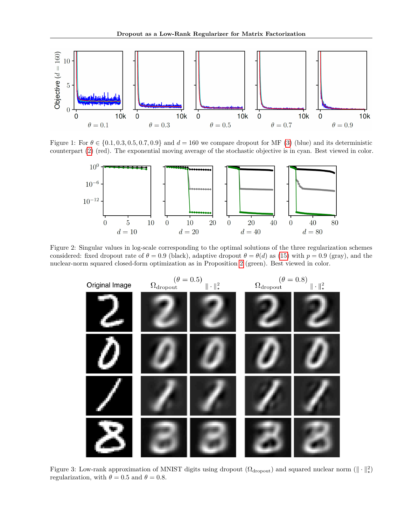

Figure 1: For  $\theta \in \{0.1, 0.3, 0.5, 0.7, 0.9\}$  and  $d = 160$  we compare dropout for MF [\(3\)](#page-1-0) (blue) and its deterministic counterpart [\(2\)](#page-0-1) (red). The exponential moving average of the stochastic objective is in cyan. Best viewed in color.

<span id="page-7-0"></span>

Figure 2: Singular values in log-scale corresponding to the optimal solutions of the three regularization schemes considered: fixed dropout rate of  $\theta = 0.9$  (black), adaptive dropout  $\theta = \theta(d)$  as [\(15\)](#page-4-1) with  $p = 0.9$  (gray), and the nuclear-norm squared closed-form optimization as in Proposition [2](#page-4-4) (green). Best viewed in color.

<span id="page-7-1"></span>

<span id="page-7-2"></span>Figure 3: Low-rank approximation of MNIST digits using dropout  $(\Omega_{\rm dropout})$  and squared nuclear norm  $(\|\cdot\|_{\star}^2)$ regularization, with  $\theta = 0.5$  and  $\theta = 0.8$ .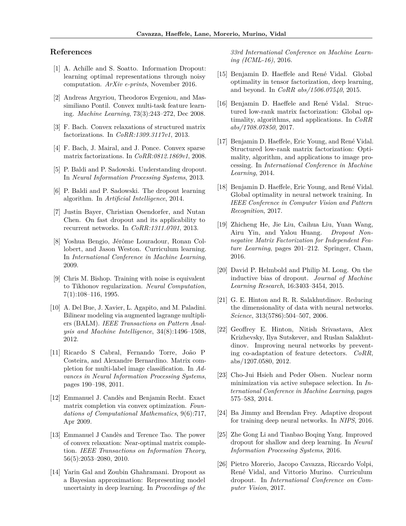### **References**

- <span id="page-8-18"></span>[1] A. Achille and S. Soatto. Information Dropout: learning optimal representations through noisy computation. *ArXiv e-prints*, November 2016.
- <span id="page-8-21"></span>[2] Andreas Argyriou, Theodoros Evgeniou, and Massimiliano Pontil. Convex multi-task feature learning. *Machine Learning*, 73(3):243–272, Dec 2008.
- <span id="page-8-3"></span>[3] F. Bach. Convex relaxations of structured matrix factorizations. In *CoRR:1309.3117v1*, 2013.
- <span id="page-8-2"></span>[4] F. Bach, J. Mairal, and J. Ponce. Convex sparse matrix factorizations. In *CoRR:0812.1869v1*, 2008.
- <span id="page-8-9"></span>[5] P. Baldi and P. Sadowski. Understanding dropout. In *Neural Information Processing Systems*, 2013.
- <span id="page-8-10"></span>[6] P. Baldi and P. Sadowski. The dropout learning algorithm. In *Artificial Intelligence*, 2014.
- <span id="page-8-16"></span>[7] Justin Bayer, Christian Osendorfer, and Nutan Chen. On fast dropout and its applicability to recurrent networks. In *CoRR:1311.0701*, 2013.
- <span id="page-8-14"></span>[8] Yoshua Bengio, Jérôme Louradour, Ronan Collobert, and Jason Weston. Curriculum learning. In *International Conference in Machine Learning*, 2009.
- <span id="page-8-13"></span>[9] Chris M. Bishop. Training with noise is equivalent to Tikhonov regularization. *Neural Computation*, 7(1):108–116, 1995.
- <span id="page-8-1"></span>[10] A. Del Bue, J. Xavier, L. Agapito, and M. Paladini. Bilinear modeling via augmented lagrange multipliers (BALM). *IEEE Transactions on Pattern Analysis and Machine Intelligence*, 34(8):1496–1508, 2012.
- <span id="page-8-23"></span>[11] Ricardo S Cabral, Fernando Torre, João P Costeira, and Alexandre Bernardino. Matrix completion for multi-label image classification. In *Advances in Neural Information Processing Systems*, pages 190–198, 2011.
- <span id="page-8-22"></span>[12] Emmanuel J. Candès and Benjamin Recht. Exact matrix completion via convex optimization. *Foundations of Computational Mathematics*, 9(6):717, Apr 2009.
- <span id="page-8-25"></span>[13] Emmanuel J Candès and Terence Tao. The power of convex relaxation: Near-optimal matrix completion. *IEEE Transactions on Information Theory*, 56(5):2053–2080, 2010.
- <span id="page-8-11"></span>[14] Yarin Gal and Zoubin Ghahramani. Dropout as a Bayesian approximation: Representing model uncertainty in deep learning. In *Proceedings of the*

*33rd International Conference on Machine Learning (ICML-16)*, 2016.

- <span id="page-8-5"></span>[15] Benjamin D. Haeffele and René Vidal. Global optimality in tensor factorization, deep learning, and beyond. In *CoRR abs/1506.07540*, 2015.
- <span id="page-8-7"></span>[16] Benjamin D. Haeffele and René Vidal. Structured low-rank matrix factorization: Global optimality, algorithms, and applications. In *CoRR abs/1708.07850*, 2017.
- <span id="page-8-4"></span>[17] Benjamin D. Haeffele, Eric Young, and René Vidal. Structured low-rank matrix factorization: Optimality, algorithm, and applications to image processing. In *International Conference in Machine Learning*, 2014.
- <span id="page-8-6"></span>[18] Benjamin D. Haeffele, Eric Young, and René Vidal. Global optimality in neural network training. In *IEEE Conference in Computer Vision and Pattern Recognition*, 2017.
- <span id="page-8-12"></span>[19] Zhicheng He, Jie Liu, Caihua Liu, Yuan Wang, Airu Yin, and Yalou Huang. *Dropout Nonnegative Matrix Factorization for Independent Feature Learning*, pages 201–212. Springer, Cham, 2016.
- <span id="page-8-20"></span>[20] David P. Helmbold and Philip M. Long. On the inductive bias of dropout. *Journal of Machine Learning Research*, 16:3403–3454, 2015.
- <span id="page-8-0"></span>[21] G. E. Hinton and R. R. Salakhutdinov. Reducing the dimensionality of data with neural networks. *Science*, 313(5786):504–507, 2006.
- <span id="page-8-8"></span>[22] Geoffrey E. Hinton, Nitish Srivastava, Alex Krizhevsky, Ilya Sutskever, and Ruslan Salakhutdinov. Improving neural networks by preventing co-adaptation of feature detectors. *CoRR*, abs/1207.0580, 2012.
- <span id="page-8-24"></span>[23] Cho-Jui Hsieh and Peder Olsen. Nuclear norm minimization via active subspace selection. In *International Conference in Machine Learning*, pages 575–583, 2014.
- <span id="page-8-17"></span>[24] Ba Jimmy and Brendan Frey. Adaptive dropout for training deep neural networks. In *NIPS*, 2016.
- <span id="page-8-15"></span>[25] Zhe Gong Li and Tianbao Boqing Yang. Improved dropout for shallow and deep learning. In *Neural Information Processing Systems*, 2016.
- <span id="page-8-19"></span>[26] Pietro Morerio, Jacopo Cavazza, Riccardo Volpi, René Vidal, and Vittorio Murino. Curriculum dropout. In *International Conference on Computer Vision*, 2017.